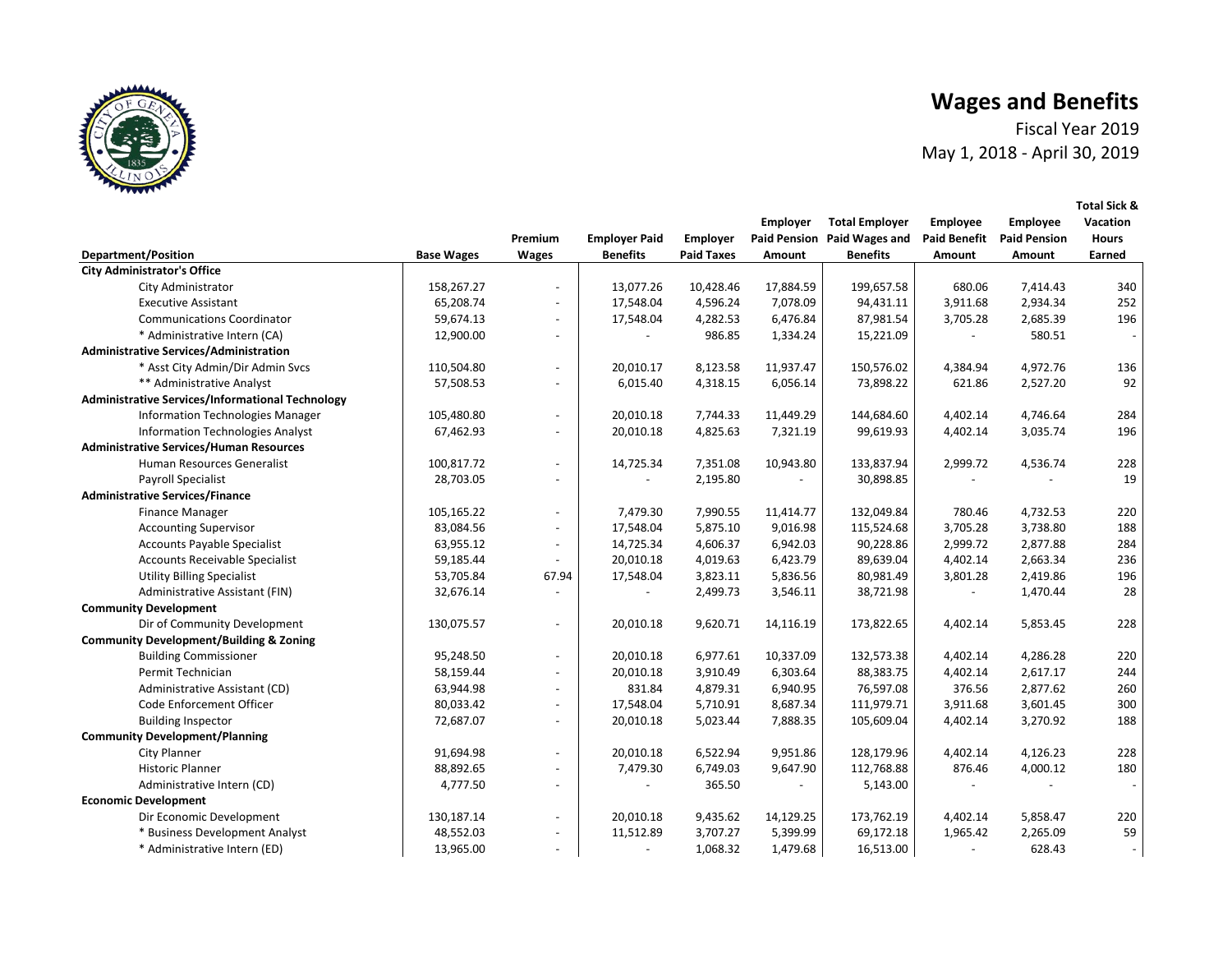Fiscal Year 2019 May 1, 2018 - April 30, 2019



|                                                         |                   |                          |                      |                   | Employer            | <b>Total Employer</b> | <b>Employee</b>     | <b>Employee</b>     | Vacation     |
|---------------------------------------------------------|-------------------|--------------------------|----------------------|-------------------|---------------------|-----------------------|---------------------|---------------------|--------------|
|                                                         |                   | Premium                  | <b>Employer Paid</b> | Employer          | <b>Paid Pension</b> | Paid Wages and        | <b>Paid Benefit</b> | <b>Paid Pension</b> | <b>Hours</b> |
| <b>Department/Position</b>                              | <b>Base Wages</b> | <b>Wages</b>             | <b>Benefits</b>      | <b>Paid Taxes</b> | Amount              | <b>Benefits</b>       | Amount              | Amount              | Earned       |
| <b>City Administrator's Office</b>                      |                   |                          |                      |                   |                     |                       |                     |                     |              |
| City Administrator                                      | 158,267.27        |                          | 13,077.26            | 10,428.46         | 17,884.59           | 199,657.58            | 680.06              | 7,414.43            | 340          |
| <b>Executive Assistant</b>                              | 65,208.74         | $\overline{a}$           | 17,548.04            | 4,596.24          | 7,078.09            | 94,431.11             | 3,911.68            | 2,934.34            | 252          |
| <b>Communications Coordinator</b>                       | 59,674.13         | $\blacksquare$           | 17,548.04            | 4,282.53          | 6,476.84            | 87,981.54             | 3,705.28            | 2,685.39            | 196          |
| * Administrative Intern (CA)                            | 12,900.00         | $\blacksquare$           |                      | 986.85            | 1,334.24            | 15,221.09             |                     | 580.51              |              |
| <b>Administrative Services/Administration</b>           |                   |                          |                      |                   |                     |                       |                     |                     |              |
| * Asst City Admin/Dir Admin Svcs                        | 110,504.80        | $\blacksquare$           | 20,010.17            | 8,123.58          | 11,937.47           | 150,576.02            | 4,384.94            | 4,972.76            | 136          |
| ** Administrative Analyst                               | 57,508.53         | $\blacksquare$           | 6,015.40             | 4,318.15          | 6,056.14            | 73,898.22             | 621.86              | 2,527.20            | 92           |
| <b>Administrative Services/Informational Technology</b> |                   |                          |                      |                   |                     |                       |                     |                     |              |
| <b>Information Technologies Manager</b>                 | 105,480.80        | $\blacksquare$           | 20,010.18            | 7,744.33          | 11,449.29           | 144,684.60            | 4,402.14            | 4,746.64            | 284          |
| <b>Information Technologies Analyst</b>                 | 67,462.93         | $\overline{a}$           | 20,010.18            | 4,825.63          | 7,321.19            | 99,619.93             | 4,402.14            | 3,035.74            | 196          |
| <b>Administrative Services/Human Resources</b>          |                   |                          |                      |                   |                     |                       |                     |                     |              |
| Human Resources Generalist                              | 100,817.72        | $\overline{\phantom{0}}$ | 14,725.34            | 7,351.08          | 10,943.80           | 133,837.94            | 2,999.72            | 4,536.74            | 228          |
| Payroll Specialist                                      | 28,703.05         | $\overline{\phantom{a}}$ |                      | 2,195.80          |                     | 30,898.85             |                     |                     | 19           |
| <b>Administrative Services/Finance</b>                  |                   |                          |                      |                   |                     |                       |                     |                     |              |
| <b>Finance Manager</b>                                  | 105,165.22        | $\overline{\phantom{a}}$ | 7,479.30             | 7,990.55          | 11,414.77           | 132,049.84            | 780.46              | 4,732.53            | 220          |
| <b>Accounting Supervisor</b>                            | 83,084.56         | $\overline{a}$           | 17,548.04            | 5,875.10          | 9,016.98            | 115,524.68            | 3,705.28            | 3,738.80            | 188          |
| <b>Accounts Payable Specialist</b>                      | 63,955.12         | $\overline{\phantom{a}}$ | 14,725.34            | 4,606.37          | 6,942.03            | 90,228.86             | 2,999.72            | 2,877.88            | 284          |
| Accounts Receivable Specialist                          | 59,185.44         |                          | 20,010.18            | 4,019.63          | 6,423.79            | 89,639.04             | 4,402.14            | 2,663.34            | 236          |
| <b>Utility Billing Specialist</b>                       | 53,705.84         | 67.94                    | 17,548.04            | 3,823.11          | 5,836.56            | 80,981.49             | 3,801.28            | 2,419.86            | 196          |
| Administrative Assistant (FIN)                          | 32,676.14         |                          |                      | 2,499.73          | 3,546.11            | 38,721.98             |                     | 1,470.44            | 28           |
| <b>Community Development</b>                            |                   |                          |                      |                   |                     |                       |                     |                     |              |
| Dir of Community Development                            | 130,075.57        | $\overline{\phantom{a}}$ | 20,010.18            | 9,620.71          | 14,116.19           | 173,822.65            | 4,402.14            | 5,853.45            | 228          |
| <b>Community Development/Building &amp; Zoning</b>      |                   |                          |                      |                   |                     |                       |                     |                     |              |
| <b>Building Commissioner</b>                            | 95,248.50         | $\blacksquare$           | 20,010.18            | 6,977.61          | 10,337.09           | 132,573.38            | 4,402.14            | 4,286.28            | 220          |
| Permit Technician                                       | 58,159.44         | $\blacksquare$           | 20,010.18            | 3,910.49          | 6,303.64            | 88,383.75             | 4,402.14            | 2,617.17            | 244          |
| Administrative Assistant (CD)                           | 63,944.98         | $\blacksquare$           | 831.84               | 4,879.31          | 6,940.95            | 76,597.08             | 376.56              | 2,877.62            | 260          |
| Code Enforcement Officer                                | 80,033.42         | $\overline{a}$           | 17,548.04            | 5,710.91          | 8,687.34            | 111,979.71            | 3,911.68            | 3,601.45            | 300          |
| <b>Building Inspector</b>                               | 72,687.07         | $\blacksquare$           | 20,010.18            | 5,023.44          | 7,888.35            | 105,609.04            | 4,402.14            | 3,270.92            | 188          |
| <b>Community Development/Planning</b>                   |                   |                          |                      |                   |                     |                       |                     |                     |              |
| City Planner                                            | 91,694.98         | $\overline{\phantom{a}}$ | 20,010.18            | 6,522.94          | 9,951.86            | 128,179.96            | 4,402.14            | 4,126.23            | 228          |
| <b>Historic Planner</b>                                 | 88,892.65         | $\overline{a}$           | 7,479.30             | 6,749.03          | 9,647.90            | 112,768.88            | 876.46              | 4,000.12            | 180          |
| Administrative Intern (CD)                              | 4,777.50          | $\blacksquare$           |                      | 365.50            |                     | 5,143.00              |                     |                     |              |
| <b>Economic Development</b>                             |                   |                          |                      |                   |                     |                       |                     |                     |              |
| Dir Economic Development                                | 130,187.14        | $\overline{\phantom{a}}$ | 20,010.18            | 9,435.62          | 14,129.25           | 173,762.19            | 4,402.14            | 5,858.47            | 220          |
| * Business Development Analyst                          | 48,552.03         | $\overline{\phantom{a}}$ | 11,512.89            | 3,707.27          | 5,399.99            | 69,172.18             | 1,965.42            | 2,265.09            | 59           |
| * Administrative Intern (ED)                            | 13,965.00         | $\overline{a}$           | $\overline{a}$       | 1,068.32          | 1,479.68            | 16,513.00             |                     | 628.43              |              |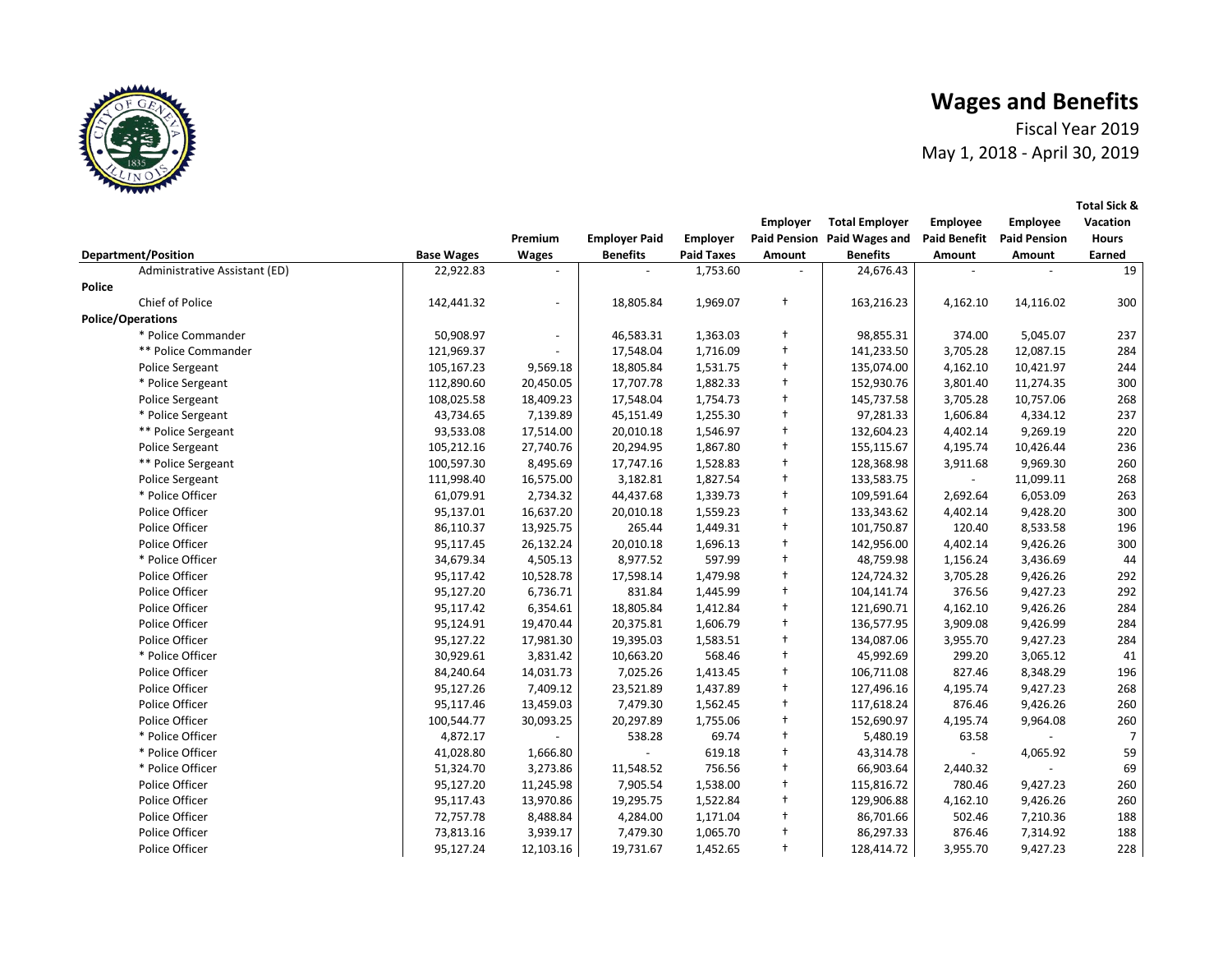Fiscal Year 2019 May 1, 2018 - April 30, 2019

| <b>Department/Position</b><br><b>Benefits</b><br><b>Paid Taxes</b><br><b>Benefits</b><br><b>Base Wages</b><br><b>Wages</b><br>Amount<br>Amount<br>Amount<br>Earned<br>Administrative Assistant (ED)<br>22,922.83<br>1,753.60<br>24,676.43<br>Police<br>Chief of Police<br>$^{+}$<br>142,441.32<br>1,969.07<br>163,216.23<br>14,116.02<br>18,805.84<br>4,162.10<br><b>Police/Operations</b><br>$\ddagger$<br>* Police Commander<br>50,908.97<br>46,583.31<br>1,363.03<br>98,855.31<br>374.00<br>5,045.07<br>$^{+}$<br>** Police Commander<br>121,969.37<br>17,548.04<br>1,716.09<br>141,233.50<br>3,705.28<br>12,087.15<br>$\ddagger$<br>105,167.23<br>9,569.18<br>18,805.84<br>1,531.75<br>135,074.00<br>4,162.10<br>10,421.97<br>Police Sergeant |  |  | Premium | <b>Employer Paid</b> | <b>Employer</b> | <b>Employer</b> | <b>Total Employer</b><br>Paid Pension Paid Wages and | Employee<br><b>Paid Benefit</b> | <b>Employee</b><br><b>Paid Pension</b> | Vacation<br><b>Hours</b> |
|---------------------------------------------------------------------------------------------------------------------------------------------------------------------------------------------------------------------------------------------------------------------------------------------------------------------------------------------------------------------------------------------------------------------------------------------------------------------------------------------------------------------------------------------------------------------------------------------------------------------------------------------------------------------------------------------------------------------------------------------------|--|--|---------|----------------------|-----------------|-----------------|------------------------------------------------------|---------------------------------|----------------------------------------|--------------------------|
|                                                                                                                                                                                                                                                                                                                                                                                                                                                                                                                                                                                                                                                                                                                                                   |  |  |         |                      |                 |                 |                                                      |                                 |                                        |                          |
|                                                                                                                                                                                                                                                                                                                                                                                                                                                                                                                                                                                                                                                                                                                                                   |  |  |         |                      |                 |                 |                                                      |                                 |                                        | 19                       |
|                                                                                                                                                                                                                                                                                                                                                                                                                                                                                                                                                                                                                                                                                                                                                   |  |  |         |                      |                 |                 |                                                      |                                 |                                        |                          |
|                                                                                                                                                                                                                                                                                                                                                                                                                                                                                                                                                                                                                                                                                                                                                   |  |  |         |                      |                 |                 |                                                      |                                 |                                        | 300                      |
|                                                                                                                                                                                                                                                                                                                                                                                                                                                                                                                                                                                                                                                                                                                                                   |  |  |         |                      |                 |                 |                                                      |                                 |                                        |                          |
|                                                                                                                                                                                                                                                                                                                                                                                                                                                                                                                                                                                                                                                                                                                                                   |  |  |         |                      |                 |                 |                                                      |                                 |                                        | 237                      |
|                                                                                                                                                                                                                                                                                                                                                                                                                                                                                                                                                                                                                                                                                                                                                   |  |  |         |                      |                 |                 |                                                      |                                 |                                        | 284                      |
|                                                                                                                                                                                                                                                                                                                                                                                                                                                                                                                                                                                                                                                                                                                                                   |  |  |         |                      |                 |                 |                                                      |                                 |                                        | 244                      |
| $^{+}$<br>112,890.60<br>20,450.05<br>17,707.78<br>1,882.33<br>152,930.76<br>11,274.35<br>* Police Sergeant<br>3,801.40                                                                                                                                                                                                                                                                                                                                                                                                                                                                                                                                                                                                                            |  |  |         |                      |                 |                 |                                                      |                                 |                                        | 300                      |
| $\ddagger$<br>Police Sergeant<br>108,025.58<br>18,409.23<br>17,548.04<br>1,754.73<br>145,737.58<br>3,705.28<br>10,757.06                                                                                                                                                                                                                                                                                                                                                                                                                                                                                                                                                                                                                          |  |  |         |                      |                 |                 |                                                      |                                 |                                        | 268                      |
| $\ddagger$<br>43,734.65<br>7,139.89<br>45,151.49<br>1,255.30<br>97,281.33<br>4,334.12<br>* Police Sergeant<br>1,606.84                                                                                                                                                                                                                                                                                                                                                                                                                                                                                                                                                                                                                            |  |  |         |                      |                 |                 |                                                      |                                 |                                        | 237                      |
| $\ddagger$<br>** Police Sergeant<br>93,533.08<br>17,514.00<br>20,010.18<br>1,546.97<br>132,604.23<br>9,269.19<br>4,402.14                                                                                                                                                                                                                                                                                                                                                                                                                                                                                                                                                                                                                         |  |  |         |                      |                 |                 |                                                      |                                 |                                        | 220                      |
| $\ddagger$<br>27,740.76<br>20,294.95<br><b>Police Sergeant</b><br>105,212.16<br>1,867.80<br>155,115.67<br>4,195.74<br>10,426.44                                                                                                                                                                                                                                                                                                                                                                                                                                                                                                                                                                                                                   |  |  |         |                      |                 |                 |                                                      |                                 |                                        | 236                      |
| $\ddagger$<br>** Police Sergeant<br>100,597.30<br>8,495.69<br>17,747.16<br>1,528.83<br>128,368.98<br>3,911.68<br>9,969.30                                                                                                                                                                                                                                                                                                                                                                                                                                                                                                                                                                                                                         |  |  |         |                      |                 |                 |                                                      |                                 |                                        | 260                      |
| $^{+}$<br>111,998.40<br>16,575.00<br>3,182.81<br>1,827.54<br>133,583.75<br>11,099.11<br><b>Police Sergeant</b><br>$\sim$                                                                                                                                                                                                                                                                                                                                                                                                                                                                                                                                                                                                                          |  |  |         |                      |                 |                 |                                                      |                                 |                                        | 268                      |
| * Police Officer<br>2,734.32<br>$^{+}$<br>6,053.09<br>61,079.91<br>44,437.68<br>1,339.73<br>109,591.64<br>2,692.64                                                                                                                                                                                                                                                                                                                                                                                                                                                                                                                                                                                                                                |  |  |         |                      |                 |                 |                                                      |                                 |                                        | 263                      |
| $^{+}$<br>Police Officer<br>95,137.01<br>16,637.20<br>1,559.23<br>133,343.62<br>9,428.20<br>20,010.18<br>4,402.14                                                                                                                                                                                                                                                                                                                                                                                                                                                                                                                                                                                                                                 |  |  |         |                      |                 |                 |                                                      |                                 |                                        | 300                      |
| Police Officer<br>265.44<br>$\ddagger$<br>8,533.58<br>86,110.37<br>13,925.75<br>1,449.31<br>101,750.87<br>120.40                                                                                                                                                                                                                                                                                                                                                                                                                                                                                                                                                                                                                                  |  |  |         |                      |                 |                 |                                                      |                                 |                                        | 196                      |
| $\ddagger$<br>Police Officer<br>95,117.45<br>26,132.24<br>20,010.18<br>1,696.13<br>142,956.00<br>4,402.14<br>9,426.26                                                                                                                                                                                                                                                                                                                                                                                                                                                                                                                                                                                                                             |  |  |         |                      |                 |                 |                                                      |                                 |                                        | 300                      |
| * Police Officer<br>$\ddot{\phantom{1}}$<br>34,679.34<br>4,505.13<br>8,977.52<br>597.99<br>48,759.98<br>3,436.69<br>1,156.24                                                                                                                                                                                                                                                                                                                                                                                                                                                                                                                                                                                                                      |  |  |         |                      |                 |                 |                                                      |                                 |                                        | 44                       |
| $\ddagger$<br>Police Officer<br>10,528.78<br>1,479.98<br>124,724.32<br>9,426.26<br>95,117.42<br>17,598.14<br>3,705.28                                                                                                                                                                                                                                                                                                                                                                                                                                                                                                                                                                                                                             |  |  |         |                      |                 |                 |                                                      |                                 |                                        | 292                      |
| $\ddagger$<br>Police Officer<br>95,127.20<br>6,736.71<br>831.84<br>1,445.99<br>104,141.74<br>376.56<br>9,427.23                                                                                                                                                                                                                                                                                                                                                                                                                                                                                                                                                                                                                                   |  |  |         |                      |                 |                 |                                                      |                                 |                                        | 292                      |
| $\ddagger$<br>Police Officer<br>95,117.42<br>6,354.61<br>18,805.84<br>1,412.84<br>121,690.71<br>4,162.10<br>9,426.26                                                                                                                                                                                                                                                                                                                                                                                                                                                                                                                                                                                                                              |  |  |         |                      |                 |                 |                                                      |                                 |                                        | 284                      |
| Police Officer<br>$\ddagger$<br>95,124.91<br>19,470.44<br>20,375.81<br>1,606.79<br>136,577.95<br>3,909.08<br>9,426.99                                                                                                                                                                                                                                                                                                                                                                                                                                                                                                                                                                                                                             |  |  |         |                      |                 |                 |                                                      |                                 |                                        | 284                      |
| $^{+}$<br>Police Officer<br>95,127.22<br>17,981.30<br>1,583.51<br>134,087.06<br>3,955.70<br>9,427.23<br>19,395.03                                                                                                                                                                                                                                                                                                                                                                                                                                                                                                                                                                                                                                 |  |  |         |                      |                 |                 |                                                      |                                 |                                        | 284                      |
| * Police Officer<br>568.46<br>$\ddagger$<br>30,929.61<br>3,831.42<br>10,663.20<br>45,992.69<br>299.20<br>3,065.12                                                                                                                                                                                                                                                                                                                                                                                                                                                                                                                                                                                                                                 |  |  |         |                      |                 |                 |                                                      |                                 |                                        | 41                       |
| $\ddagger$<br>Police Officer<br>84,240.64<br>14,031.73<br>7,025.26<br>1,413.45<br>106,711.08<br>827.46<br>8,348.29                                                                                                                                                                                                                                                                                                                                                                                                                                                                                                                                                                                                                                |  |  |         |                      |                 |                 |                                                      |                                 |                                        | 196                      |
| Police Officer<br>$\ddagger$<br>95,127.26<br>7,409.12<br>23,521.89<br>1,437.89<br>127,496.16<br>4,195.74<br>9,427.23                                                                                                                                                                                                                                                                                                                                                                                                                                                                                                                                                                                                                              |  |  |         |                      |                 |                 |                                                      |                                 |                                        | 268                      |
| $\ddagger$<br>Police Officer<br>13,459.03<br>7,479.30<br>9,426.26<br>95,117.46<br>1,562.45<br>117,618.24<br>876.46                                                                                                                                                                                                                                                                                                                                                                                                                                                                                                                                                                                                                                |  |  |         |                      |                 |                 |                                                      |                                 |                                        | 260                      |
| Police Officer<br>$\ddagger$<br>100,544.77<br>30,093.25<br>20,297.89<br>1,755.06<br>152,690.97<br>4,195.74<br>9,964.08                                                                                                                                                                                                                                                                                                                                                                                                                                                                                                                                                                                                                            |  |  |         |                      |                 |                 |                                                      |                                 |                                        | 260                      |
| $\ddagger$<br>* Police Officer<br>4,872.17<br>538.28<br>69.74<br>5,480.19<br>63.58                                                                                                                                                                                                                                                                                                                                                                                                                                                                                                                                                                                                                                                                |  |  |         |                      |                 |                 |                                                      |                                 |                                        | $\overline{7}$           |
| $\ddagger$<br>* Police Officer<br>41,028.80<br>1,666.80<br>619.18<br>43,314.78<br>4,065.92<br>$\sim$                                                                                                                                                                                                                                                                                                                                                                                                                                                                                                                                                                                                                                              |  |  |         |                      |                 |                 |                                                      |                                 |                                        | 59                       |
| $\ddagger$<br>* Police Officer<br>3,273.86<br>11,548.52<br>756.56<br>66,903.64<br>51,324.70<br>2,440.32<br>$\overline{\phantom{a}}$                                                                                                                                                                                                                                                                                                                                                                                                                                                                                                                                                                                                               |  |  |         |                      |                 |                 |                                                      |                                 |                                        | 69                       |
| Police Officer<br>$\ddagger$<br>95,127.20<br>11,245.98<br>7,905.54<br>1,538.00<br>115,816.72<br>780.46<br>9,427.23                                                                                                                                                                                                                                                                                                                                                                                                                                                                                                                                                                                                                                |  |  |         |                      |                 |                 |                                                      |                                 |                                        | 260                      |
| Police Officer<br>$\ddagger$<br>95,117.43<br>19,295.75<br>1,522.84<br>9,426.26<br>13,970.86<br>129,906.88<br>4,162.10                                                                                                                                                                                                                                                                                                                                                                                                                                                                                                                                                                                                                             |  |  |         |                      |                 |                 |                                                      |                                 |                                        | 260                      |
| Police Officer<br>$\ddagger$<br>72,757.78<br>8,488.84<br>4,284.00<br>1,171.04<br>86,701.66<br>502.46<br>7,210.36                                                                                                                                                                                                                                                                                                                                                                                                                                                                                                                                                                                                                                  |  |  |         |                      |                 |                 |                                                      |                                 |                                        | 188                      |
| $\ddagger$<br>Police Officer<br>73,813.16<br>3,939.17<br>7,479.30<br>1,065.70<br>86,297.33<br>876.46<br>7,314.92                                                                                                                                                                                                                                                                                                                                                                                                                                                                                                                                                                                                                                  |  |  |         |                      |                 |                 |                                                      |                                 |                                        | 188                      |
| $\ddagger$<br>Police Officer<br>95,127.24<br>12,103.16<br>19,731.67<br>1,452.65<br>128,414.72<br>3,955.70<br>9,427.23                                                                                                                                                                                                                                                                                                                                                                                                                                                                                                                                                                                                                             |  |  |         |                      |                 |                 |                                                      |                                 |                                        | 228                      |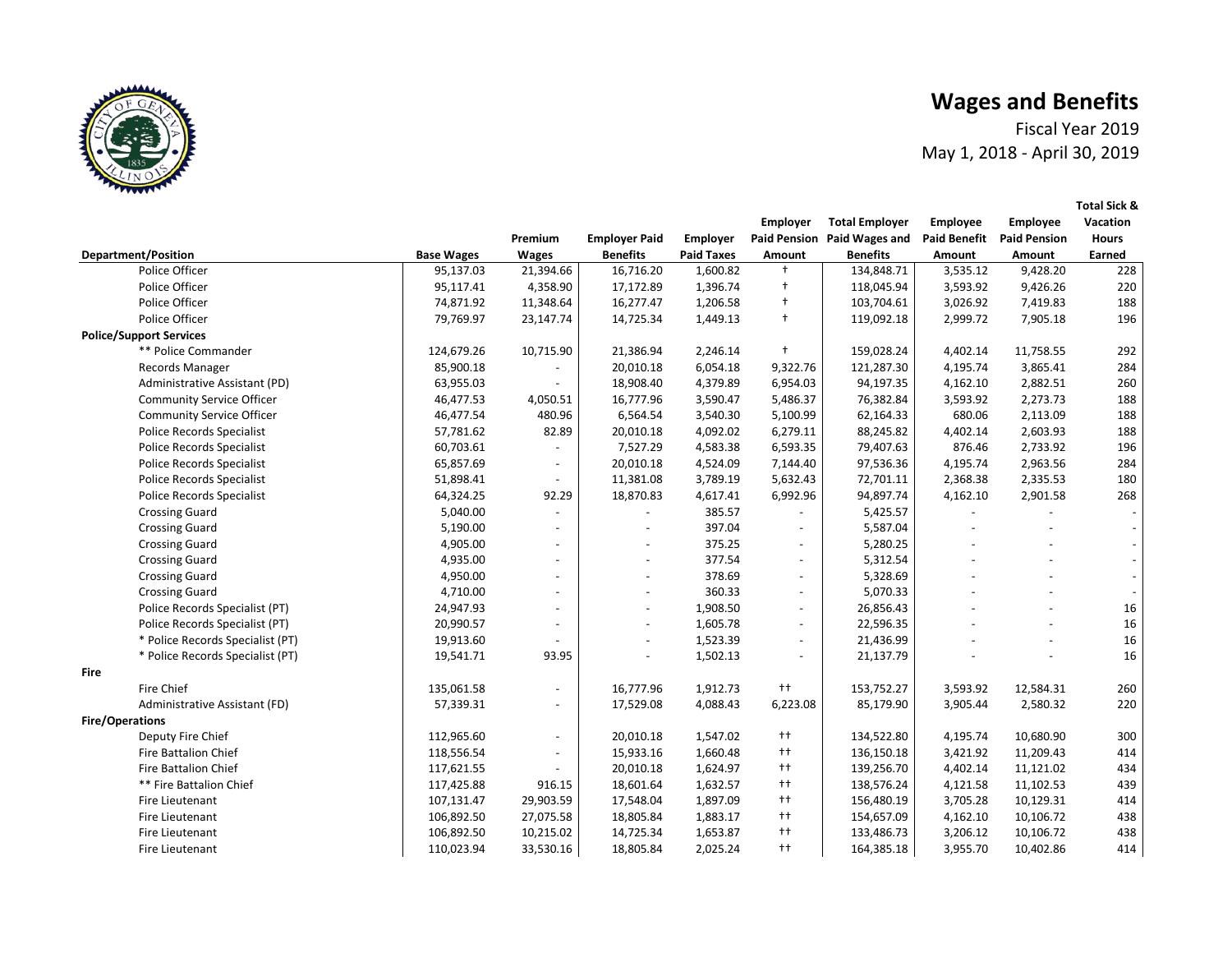Fiscal Year 2019 May 1, 2018 - April 30, 2019

 **Employee Vacation** 

**Total Sick &** 

 **Employer Total Employer Employee** 



|                                  |                   | Premium                  | <b>Employer Paid</b>     | Employer          |                          | Paid Pension Paid Wages and Paid Benefit Paid Pension |          |           | <b>Hours</b> |
|----------------------------------|-------------------|--------------------------|--------------------------|-------------------|--------------------------|-------------------------------------------------------|----------|-----------|--------------|
| <b>Department/Position</b>       | <b>Base Wages</b> | Wages                    | <b>Benefits</b>          | <b>Paid Taxes</b> | Amount                   | <b>Benefits</b>                                       | Amount   | Amount    | Earned       |
| Police Officer                   | 95,137.03         | 21,394.66                | 16,716.20                | 1,600.82          | $\ddagger$               | 134,848.71                                            | 3,535.12 | 9,428.20  | 228          |
| Police Officer                   | 95,117.41         | 4,358.90                 | 17,172.89                | 1,396.74          | $^{\dagger}$             | 118,045.94                                            | 3,593.92 | 9,426.26  | 220          |
| Police Officer                   | 74,871.92         | 11,348.64                | 16,277.47                | 1,206.58          | $\ddagger$               | 103,704.61                                            | 3,026.92 | 7,419.83  | 188          |
| Police Officer                   | 79,769.97         | 23,147.74                | 14,725.34                | 1,449.13          | $+$                      | 119,092.18                                            | 2,999.72 | 7,905.18  | 196          |
| <b>Police/Support Services</b>   |                   |                          |                          |                   |                          |                                                       |          |           |              |
| ** Police Commander              | 124,679.26        | 10,715.90                | 21,386.94                | 2,246.14          | $\ddagger$               | 159,028.24                                            | 4,402.14 | 11,758.55 | 292          |
| <b>Records Manager</b>           | 85,900.18         |                          | 20,010.18                | 6,054.18          | 9,322.76                 | 121,287.30                                            | 4,195.74 | 3,865.41  | 284          |
| Administrative Assistant (PD)    | 63,955.03         |                          | 18,908.40                | 4,379.89          | 6,954.03                 | 94,197.35                                             | 4,162.10 | 2,882.51  | 260          |
| <b>Community Service Officer</b> | 46,477.53         | 4,050.51                 | 16,777.96                | 3,590.47          | 5,486.37                 | 76,382.84                                             | 3,593.92 | 2,273.73  | 188          |
| <b>Community Service Officer</b> | 46,477.54         | 480.96                   | 6,564.54                 | 3,540.30          | 5,100.99                 | 62,164.33                                             | 680.06   | 2,113.09  | 188          |
| <b>Police Records Specialist</b> | 57,781.62         | 82.89                    | 20,010.18                | 4,092.02          | 6,279.11                 | 88,245.82                                             | 4,402.14 | 2,603.93  | 188          |
| Police Records Specialist        | 60,703.61         | $\blacksquare$           | 7,527.29                 | 4,583.38          | 6,593.35                 | 79,407.63                                             | 876.46   | 2,733.92  | 196          |
| <b>Police Records Specialist</b> | 65,857.69         | $\overline{\phantom{a}}$ | 20,010.18                | 4,524.09          | 7,144.40                 | 97,536.36                                             | 4,195.74 | 2,963.56  | 284          |
| <b>Police Records Specialist</b> | 51,898.41         | $\overline{\phantom{a}}$ | 11,381.08                | 3,789.19          | 5,632.43                 | 72,701.11                                             | 2,368.38 | 2,335.53  | 180          |
| <b>Police Records Specialist</b> | 64,324.25         | 92.29                    | 18,870.83                | 4,617.41          | 6,992.96                 | 94,897.74                                             | 4,162.10 | 2,901.58  | 268          |
| <b>Crossing Guard</b>            | 5,040.00          | $\blacksquare$           |                          | 385.57            |                          | 5,425.57                                              |          |           |              |
| <b>Crossing Guard</b>            | 5,190.00          | $\blacksquare$           |                          | 397.04            | $\overline{a}$           | 5,587.04                                              |          |           |              |
| <b>Crossing Guard</b>            | 4,905.00          | $\overline{\phantom{a}}$ |                          | 375.25            | $\sim$                   | 5,280.25                                              |          |           |              |
| <b>Crossing Guard</b>            | 4,935.00          | $\overline{\phantom{a}}$ |                          | 377.54            | $\overline{\phantom{a}}$ | 5,312.54                                              |          |           |              |
| <b>Crossing Guard</b>            | 4,950.00          |                          | $\overline{\phantom{a}}$ | 378.69            | $\blacksquare$           | 5,328.69                                              |          |           |              |
| <b>Crossing Guard</b>            | 4,710.00          | $\blacksquare$           | $\overline{\phantom{0}}$ | 360.33            | $\sim$                   | 5,070.33                                              |          |           |              |
| Police Records Specialist (PT)   | 24,947.93         | $\overline{\phantom{a}}$ | $\overline{\phantom{0}}$ | 1,908.50          | $\blacksquare$           | 26,856.43                                             |          |           | 16           |
| Police Records Specialist (PT)   | 20,990.57         | $\blacksquare$           | $\overline{\phantom{0}}$ | 1,605.78          | $\blacksquare$           | 22,596.35                                             |          |           | 16           |
| * Police Records Specialist (PT) | 19,913.60         |                          | $\overline{a}$           | 1,523.39          | $\overline{\phantom{a}}$ | 21,436.99                                             |          |           | 16           |
| * Police Records Specialist (PT) | 19,541.71         | 93.95                    | $\overline{\phantom{0}}$ | 1,502.13          | $\blacksquare$           | 21,137.79                                             |          |           | 16           |
| Fire                             |                   |                          |                          |                   |                          |                                                       |          |           |              |
| Fire Chief                       | 135,061.58        | $\blacksquare$           | 16,777.96                | 1,912.73          | $^{++}$                  | 153,752.27                                            | 3,593.92 | 12,584.31 | 260          |
| Administrative Assistant (FD)    | 57,339.31         | $\overline{\phantom{a}}$ | 17,529.08                | 4,088.43          | 6,223.08                 | 85,179.90                                             | 3,905.44 | 2,580.32  | 220          |
| <b>Fire/Operations</b>           |                   |                          |                          |                   |                          |                                                       |          |           |              |
| Deputy Fire Chief                | 112,965.60        |                          | 20,010.18                | 1,547.02          | $^{++}$                  | 134,522.80                                            | 4,195.74 | 10,680.90 | 300          |
| Fire Battalion Chief             | 118,556.54        | $\overline{\phantom{a}}$ | 15,933.16                | 1,660.48          | $^{++}$                  | 136,150.18                                            | 3,421.92 | 11,209.43 | 414          |
| Fire Battalion Chief             | 117,621.55        |                          | 20,010.18                | 1,624.97          | $++$                     | 139,256.70                                            | 4,402.14 | 11,121.02 | 434          |
| ** Fire Battalion Chief          | 117,425.88        | 916.15                   | 18,601.64                | 1,632.57          | $^{++}$                  | 138,576.24                                            | 4,121.58 | 11,102.53 | 439          |
| Fire Lieutenant                  | 107,131.47        | 29,903.59                | 17,548.04                | 1,897.09          | $^{++}$                  | 156,480.19                                            | 3,705.28 | 10,129.31 | 414          |
| Fire Lieutenant                  | 106,892.50        | 27,075.58                | 18,805.84                | 1,883.17          | $++$                     | 154,657.09                                            | 4,162.10 | 10,106.72 | 438          |
| Fire Lieutenant                  | 106,892.50        | 10,215.02                | 14,725.34                | 1,653.87          | $^{++}$                  | 133,486.73                                            | 3,206.12 | 10,106.72 | 438          |
| Fire Lieutenant                  | 110,023.94        | 33,530.16                | 18,805.84                | 2,025.24          | $++$                     | 164,385.18                                            | 3,955.70 | 10,402.86 | 414          |
|                                  |                   |                          |                          |                   |                          |                                                       |          |           |              |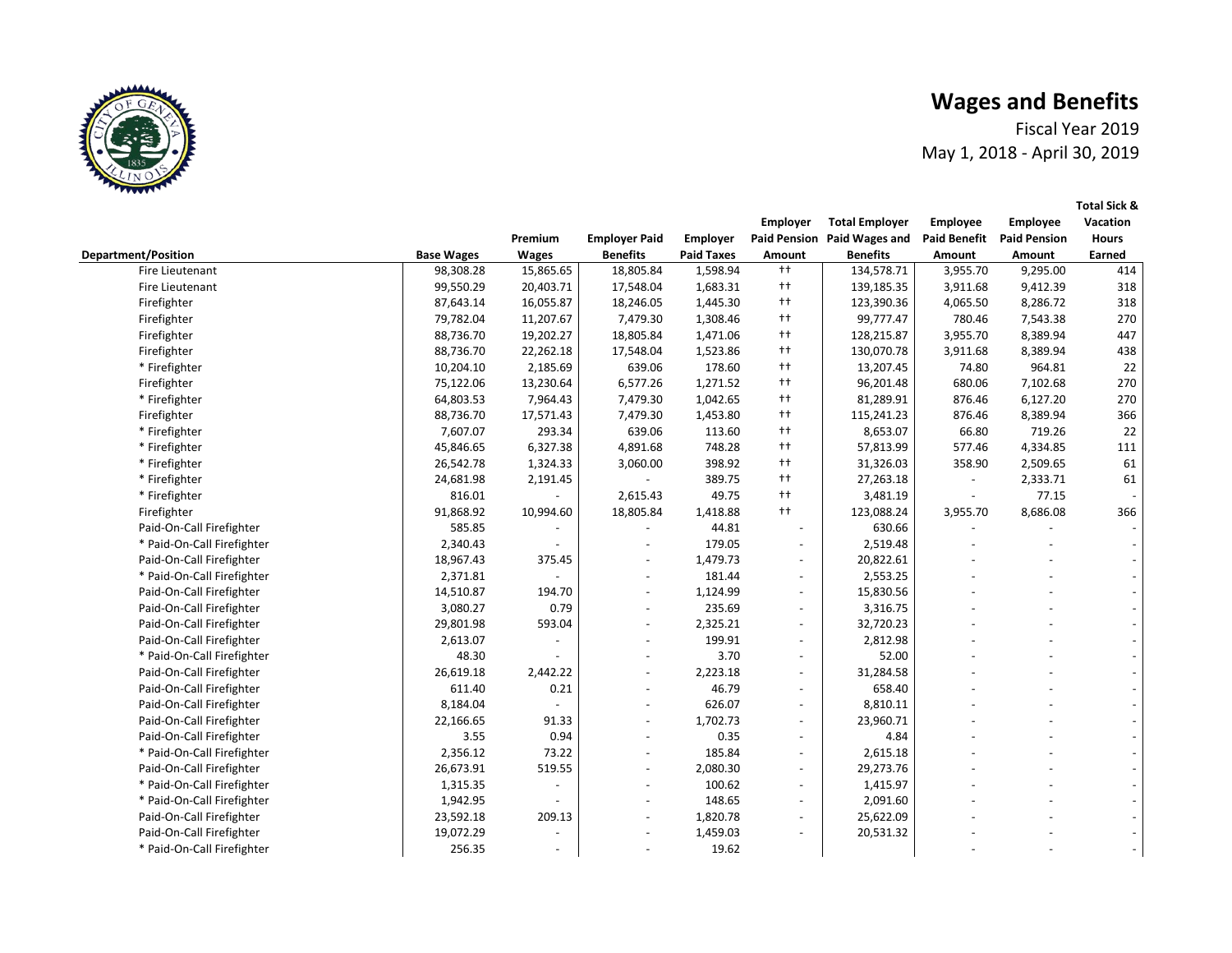Fiscal Year 2019 May 1, 2018 - April 30, 2019

 **Employee Vacation** 

**Total Sick &** 

 **Employer Total Employer Employee** 



|                            |                   | Premium        | <b>Employer Paid</b> | Employer          |                          | Paid Pension Paid Wages and |                          | <b>Paid Benefit Paid Pension</b> | <b>Hours</b> |
|----------------------------|-------------------|----------------|----------------------|-------------------|--------------------------|-----------------------------|--------------------------|----------------------------------|--------------|
| <b>Department/Position</b> | <b>Base Wages</b> | <b>Wages</b>   | <b>Benefits</b>      | <b>Paid Taxes</b> | Amount                   | <b>Benefits</b>             | Amount                   | Amount                           | Earned       |
| Fire Lieutenant            | 98,308.28         | 15,865.65      | 18,805.84            | 1,598.94          | $++$                     | 134,578.71                  | 3,955.70                 | 9,295.00                         | 414          |
| Fire Lieutenant            | 99,550.29         | 20,403.71      | 17,548.04            | 1,683.31          | $++$                     | 139,185.35                  | 3,911.68                 | 9,412.39                         | 318          |
| Firefighter                | 87,643.14         | 16,055.87      | 18,246.05            | 1,445.30          | $++$                     | 123,390.36                  | 4,065.50                 | 8,286.72                         | 318          |
| Firefighter                | 79,782.04         | 11,207.67      | 7,479.30             | 1,308.46          | $++$                     | 99,777.47                   | 780.46                   | 7,543.38                         | 270          |
| Firefighter                | 88,736.70         | 19,202.27      | 18,805.84            | 1,471.06          | $++$                     | 128,215.87                  | 3,955.70                 | 8,389.94                         | 447          |
| Firefighter                | 88,736.70         | 22,262.18      | 17,548.04            | 1,523.86          | $++$                     | 130,070.78                  | 3,911.68                 | 8,389.94                         | 438          |
| * Firefighter              | 10,204.10         | 2,185.69       | 639.06               | 178.60            | $++$                     | 13,207.45                   | 74.80                    | 964.81                           | 22           |
| Firefighter                | 75,122.06         | 13,230.64      | 6,577.26             | 1,271.52          | $++$                     | 96,201.48                   | 680.06                   | 7,102.68                         | 270          |
| * Firefighter              | 64,803.53         | 7,964.43       | 7,479.30             | 1,042.65          | $++$                     | 81,289.91                   | 876.46                   | 6,127.20                         | 270          |
| Firefighter                | 88,736.70         | 17,571.43      | 7,479.30             | 1,453.80          | $++$                     | 115,241.23                  | 876.46                   | 8,389.94                         | 366          |
| * Firefighter              | 7,607.07          | 293.34         | 639.06               | 113.60            | $++$                     | 8,653.07                    | 66.80                    | 719.26                           | 22           |
| * Firefighter              | 45,846.65         | 6,327.38       | 4,891.68             | 748.28            | $++$                     | 57,813.99                   | 577.46                   | 4,334.85                         | 111          |
| * Firefighter              | 26,542.78         | 1,324.33       | 3,060.00             | 398.92            | $^{++}$                  | 31,326.03                   | 358.90                   | 2,509.65                         | 61           |
| * Firefighter              | 24,681.98         | 2,191.45       | $\blacksquare$       | 389.75            | $^{++}$                  | 27,263.18                   | $\overline{\phantom{a}}$ | 2,333.71                         | 61           |
| * Firefighter              | 816.01            |                | 2,615.43             | 49.75             | $++$                     | 3,481.19                    | $\blacksquare$           | 77.15                            |              |
| Firefighter                | 91,868.92         | 10,994.60      | 18,805.84            | 1,418.88          | $++$                     | 123,088.24                  | 3,955.70                 | 8,686.08                         | 366          |
| Paid-On-Call Firefighter   | 585.85            |                |                      | 44.81             | $\overline{\phantom{a}}$ | 630.66                      |                          |                                  |              |
| * Paid-On-Call Firefighter | 2,340.43          |                |                      | 179.05            | $\overline{\phantom{a}}$ | 2,519.48                    |                          |                                  |              |
| Paid-On-Call Firefighter   | 18,967.43         | 375.45         |                      | 1,479.73          | $\overline{\phantom{a}}$ | 20,822.61                   |                          |                                  |              |
| * Paid-On-Call Firefighter | 2,371.81          |                |                      | 181.44            | $\blacksquare$           | 2,553.25                    |                          |                                  |              |
| Paid-On-Call Firefighter   | 14,510.87         | 194.70         |                      | 1,124.99          | $\overline{a}$           | 15,830.56                   |                          |                                  |              |
| Paid-On-Call Firefighter   | 3,080.27          | 0.79           | $\overline{a}$       | 235.69            | $\blacksquare$           | 3,316.75                    |                          |                                  |              |
| Paid-On-Call Firefighter   | 29,801.98         | 593.04         |                      | 2,325.21          | $\blacksquare$           | 32,720.23                   |                          |                                  |              |
| Paid-On-Call Firefighter   | 2,613.07          |                |                      | 199.91            | $\blacksquare$           | 2,812.98                    |                          |                                  |              |
| * Paid-On-Call Firefighter | 48.30             |                |                      | 3.70              | $\blacksquare$           | 52.00                       |                          |                                  |              |
| Paid-On-Call Firefighter   | 26,619.18         | 2,442.22       |                      | 2,223.18          | $\blacksquare$           | 31,284.58                   |                          |                                  |              |
| Paid-On-Call Firefighter   | 611.40            | 0.21           |                      | 46.79             | $\blacksquare$           | 658.40                      |                          |                                  |              |
| Paid-On-Call Firefighter   | 8,184.04          |                |                      | 626.07            | $\overline{\phantom{a}}$ | 8,810.11                    |                          |                                  |              |
| Paid-On-Call Firefighter   | 22,166.65         | 91.33          |                      | 1,702.73          | $\overline{a}$           | 23,960.71                   |                          |                                  |              |
| Paid-On-Call Firefighter   | 3.55              | 0.94           |                      | 0.35              | $\overline{\phantom{a}}$ | 4.84                        |                          |                                  |              |
| * Paid-On-Call Firefighter | 2,356.12          | 73.22          |                      | 185.84            | $\overline{\phantom{a}}$ | 2,615.18                    |                          |                                  |              |
| Paid-On-Call Firefighter   | 26,673.91         | 519.55         |                      | 2,080.30          | $\blacksquare$           | 29,273.76                   |                          |                                  |              |
| * Paid-On-Call Firefighter | 1,315.35          | $\overline{a}$ | $\overline{a}$       | 100.62            | $\blacksquare$           | 1,415.97                    |                          |                                  |              |
| * Paid-On-Call Firefighter | 1,942.95          |                |                      | 148.65            | $\blacksquare$           | 2,091.60                    |                          |                                  |              |
| Paid-On-Call Firefighter   | 23,592.18         | 209.13         |                      | 1,820.78          | $\blacksquare$           | 25,622.09                   |                          |                                  |              |
| Paid-On-Call Firefighter   | 19,072.29         | $\overline{a}$ |                      | 1,459.03          | $\blacksquare$           | 20,531.32                   |                          |                                  |              |
| * Paid-On-Call Firefighter | 256.35            |                |                      | 19.62             |                          |                             |                          |                                  |              |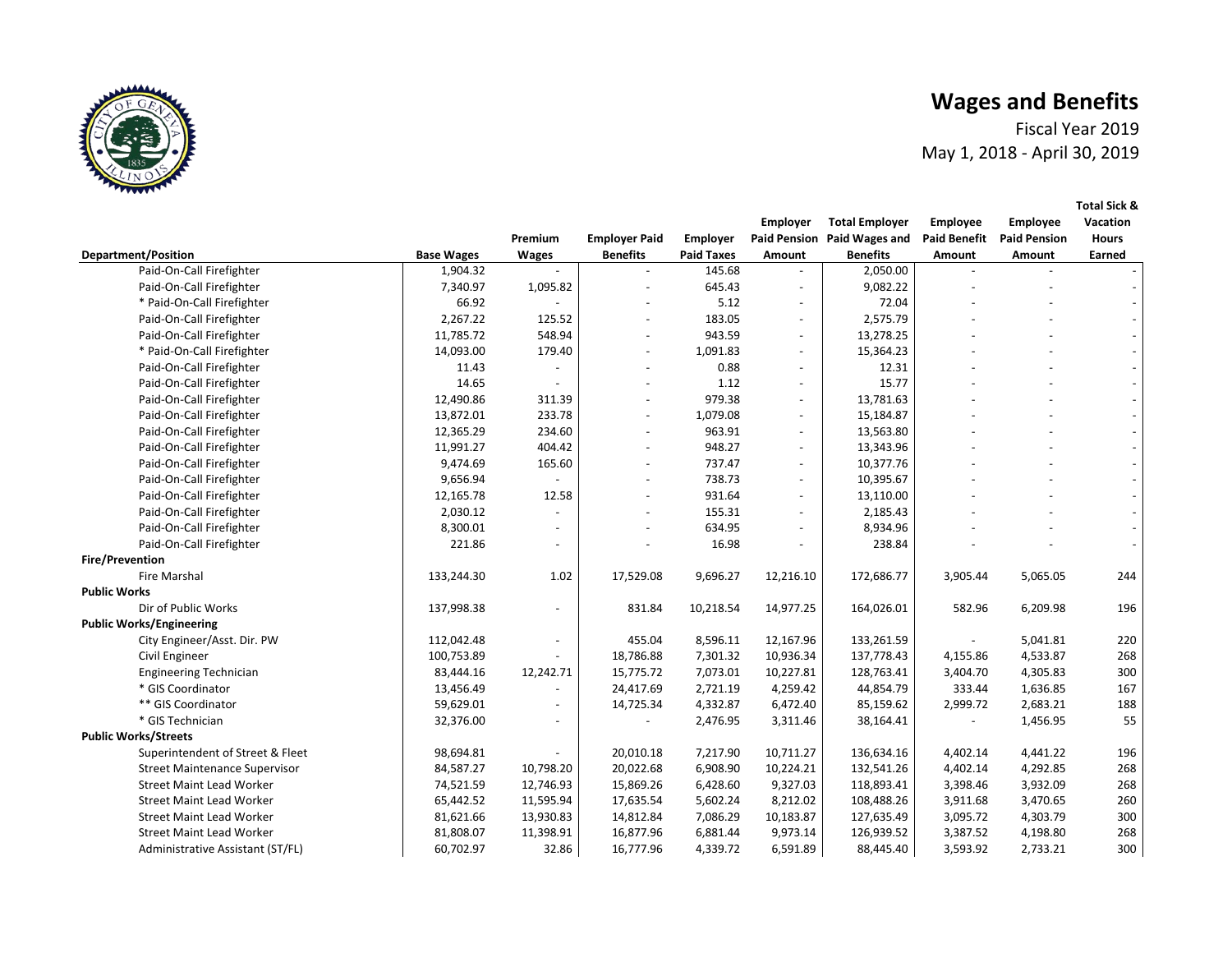Fiscal Year 2019 May 1, 2018 - April 30, 2019



|                                      |                   |                |                          |                   | Employer                 | <b>Total Employer</b>       | Employee            | Employee            | Vacation     |
|--------------------------------------|-------------------|----------------|--------------------------|-------------------|--------------------------|-----------------------------|---------------------|---------------------|--------------|
|                                      |                   | Premium        | <b>Employer Paid</b>     | Employer          |                          | Paid Pension Paid Wages and | <b>Paid Benefit</b> | <b>Paid Pension</b> | <b>Hours</b> |
| <b>Department/Position</b>           | <b>Base Wages</b> | <b>Wages</b>   | <b>Benefits</b>          | <b>Paid Taxes</b> | Amount                   | <b>Benefits</b>             | Amount              | Amount              | Earned       |
| Paid-On-Call Firefighter             | 1,904.32          |                |                          | 145.68            |                          | 2,050.00                    |                     |                     |              |
| Paid-On-Call Firefighter             | 7,340.97          | 1,095.82       |                          | 645.43            |                          | 9,082.22                    |                     |                     |              |
| * Paid-On-Call Firefighter           | 66.92             |                |                          | 5.12              | $\overline{\phantom{a}}$ | 72.04                       |                     |                     |              |
| Paid-On-Call Firefighter             | 2,267.22          | 125.52         |                          | 183.05            | $\overline{\phantom{a}}$ | 2,575.79                    |                     |                     |              |
| Paid-On-Call Firefighter             | 11,785.72         | 548.94         | $\overline{\phantom{a}}$ | 943.59            | $\overline{\phantom{a}}$ | 13,278.25                   |                     |                     |              |
| * Paid-On-Call Firefighter           | 14,093.00         | 179.40         |                          | 1,091.83          | $\overline{\phantom{a}}$ | 15,364.23                   |                     |                     |              |
| Paid-On-Call Firefighter             | 11.43             |                |                          | 0.88              | $\overline{\phantom{a}}$ | 12.31                       |                     |                     |              |
| Paid-On-Call Firefighter             | 14.65             |                |                          | 1.12              | $\overline{\phantom{a}}$ | 15.77                       |                     |                     |              |
| Paid-On-Call Firefighter             | 12,490.86         | 311.39         |                          | 979.38            | $\overline{\phantom{a}}$ | 13,781.63                   |                     |                     |              |
| Paid-On-Call Firefighter             | 13,872.01         | 233.78         |                          | 1,079.08          |                          | 15,184.87                   |                     |                     |              |
| Paid-On-Call Firefighter             | 12,365.29         | 234.60         |                          | 963.91            | $\overline{\phantom{a}}$ | 13,563.80                   |                     |                     |              |
| Paid-On-Call Firefighter             | 11,991.27         | 404.42         |                          | 948.27            | $\blacksquare$           | 13,343.96                   |                     |                     |              |
| Paid-On-Call Firefighter             | 9,474.69          | 165.60         |                          | 737.47            | $\overline{\phantom{a}}$ | 10,377.76                   |                     |                     |              |
| Paid-On-Call Firefighter             | 9,656.94          | $\overline{a}$ |                          | 738.73            | $\blacksquare$           | 10,395.67                   |                     |                     |              |
| Paid-On-Call Firefighter             | 12,165.78         | 12.58          |                          | 931.64            | $\overline{\phantom{a}}$ | 13,110.00                   |                     |                     |              |
| Paid-On-Call Firefighter             | 2,030.12          | $\overline{a}$ |                          | 155.31            | $\blacksquare$           | 2,185.43                    |                     |                     |              |
| Paid-On-Call Firefighter             | 8,300.01          |                |                          | 634.95            |                          | 8,934.96                    |                     |                     |              |
| Paid-On-Call Firefighter             | 221.86            |                |                          | 16.98             |                          | 238.84                      |                     |                     |              |
| <b>Fire/Prevention</b>               |                   |                |                          |                   |                          |                             |                     |                     |              |
| Fire Marshal                         | 133,244.30        | 1.02           | 17,529.08                | 9,696.27          | 12,216.10                | 172,686.77                  | 3,905.44            | 5,065.05            | 244          |
| <b>Public Works</b>                  |                   |                |                          |                   |                          |                             |                     |                     |              |
| Dir of Public Works                  | 137,998.38        |                | 831.84                   | 10,218.54         | 14,977.25                | 164,026.01                  | 582.96              | 6,209.98            | 196          |
| <b>Public Works/Engineering</b>      |                   |                |                          |                   |                          |                             |                     |                     |              |
| City Engineer/Asst. Dir. PW          | 112,042.48        | Ĭ.             | 455.04                   | 8,596.11          | 12,167.96                | 133,261.59                  |                     | 5,041.81            | 220          |
| Civil Engineer                       | 100,753.89        |                | 18,786.88                | 7,301.32          | 10,936.34                | 137,778.43                  | 4,155.86            | 4,533.87            | 268          |
| <b>Engineering Technician</b>        | 83,444.16         | 12,242.71      | 15,775.72                | 7,073.01          | 10,227.81                | 128,763.41                  | 3,404.70            | 4,305.83            | 300          |
| * GIS Coordinator                    | 13,456.49         |                | 24,417.69                | 2,721.19          | 4,259.42                 | 44,854.79                   | 333.44              | 1,636.85            | 167          |
| ** GIS Coordinator                   | 59,629.01         | $\overline{a}$ | 14,725.34                | 4,332.87          | 6,472.40                 | 85,159.62                   | 2,999.72            | 2,683.21            | 188          |
| * GIS Technician                     | 32,376.00         | $\overline{a}$ |                          | 2,476.95          | 3,311.46                 | 38,164.41                   |                     | 1,456.95            | 55           |
| <b>Public Works/Streets</b>          |                   |                |                          |                   |                          |                             |                     |                     |              |
| Superintendent of Street & Fleet     | 98,694.81         |                | 20,010.18                | 7,217.90          | 10,711.27                | 136,634.16                  | 4,402.14            | 4,441.22            | 196          |
| <b>Street Maintenance Supervisor</b> | 84,587.27         | 10,798.20      | 20,022.68                | 6,908.90          | 10,224.21                | 132,541.26                  | 4,402.14            | 4,292.85            | 268          |
| <b>Street Maint Lead Worker</b>      | 74,521.59         | 12,746.93      | 15,869.26                | 6,428.60          | 9,327.03                 | 118,893.41                  | 3,398.46            | 3,932.09            | 268          |
| <b>Street Maint Lead Worker</b>      | 65,442.52         | 11,595.94      | 17,635.54                | 5,602.24          | 8,212.02                 | 108,488.26                  | 3,911.68            | 3,470.65            | 260          |
| <b>Street Maint Lead Worker</b>      | 81,621.66         | 13,930.83      | 14,812.84                | 7,086.29          | 10,183.87                | 127,635.49                  | 3,095.72            | 4,303.79            | 300          |
| <b>Street Maint Lead Worker</b>      | 81,808.07         | 11,398.91      | 16,877.96                | 6,881.44          | 9,973.14                 | 126,939.52                  | 3,387.52            | 4,198.80            | 268          |
| Administrative Assistant (ST/FL)     | 60,702.97         | 32.86          | 16,777.96                | 4,339.72          | 6,591.89                 | 88,445.40                   | 3,593.92            | 2,733.21            | 300          |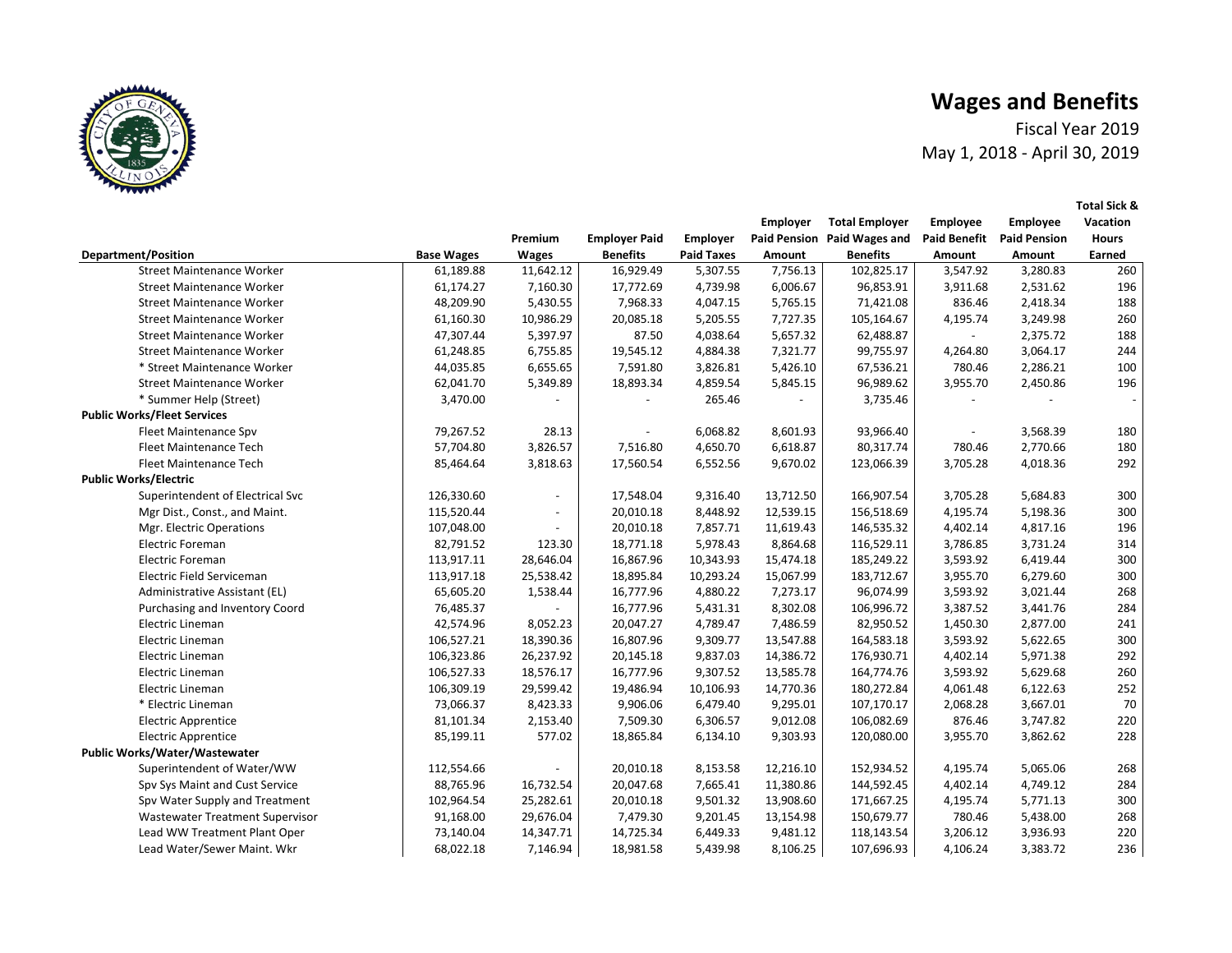Fiscal Year 2019 May 1, 2018 - April 30, 2019

|                                    |                   |              |                      |                   | <b>Employer</b> | <b>Total Employer</b>       | Employee                 | <b>Employee</b>     | Vacation     |
|------------------------------------|-------------------|--------------|----------------------|-------------------|-----------------|-----------------------------|--------------------------|---------------------|--------------|
|                                    |                   | Premium      | <b>Employer Paid</b> | <b>Employer</b>   |                 | Paid Pension Paid Wages and | <b>Paid Benefit</b>      | <b>Paid Pension</b> | <b>Hours</b> |
| <b>Department/Position</b>         | <b>Base Wages</b> | <b>Wages</b> | <b>Benefits</b>      | <b>Paid Taxes</b> | Amount          | <b>Benefits</b>             | Amount                   | Amount              | Earned       |
| <b>Street Maintenance Worker</b>   | 61,189.88         | 11,642.12    | 16,929.49            | 5,307.55          | 7,756.13        | 102,825.17                  | 3,547.92                 | 3,280.83            | 260          |
| <b>Street Maintenance Worker</b>   | 61,174.27         | 7,160.30     | 17,772.69            | 4,739.98          | 6,006.67        | 96,853.91                   | 3,911.68                 | 2,531.62            | 196          |
| <b>Street Maintenance Worker</b>   | 48,209.90         | 5,430.55     | 7,968.33             | 4,047.15          | 5,765.15        | 71,421.08                   | 836.46                   | 2,418.34            | 188          |
| <b>Street Maintenance Worker</b>   | 61,160.30         | 10,986.29    | 20,085.18            | 5,205.55          | 7,727.35        | 105,164.67                  | 4,195.74                 | 3,249.98            | 260          |
| <b>Street Maintenance Worker</b>   | 47,307.44         | 5,397.97     | 87.50                | 4,038.64          | 5,657.32        | 62,488.87                   | $\blacksquare$           | 2,375.72            | 188          |
| <b>Street Maintenance Worker</b>   | 61,248.85         | 6,755.85     | 19,545.12            | 4,884.38          | 7,321.77        | 99,755.97                   | 4,264.80                 | 3,064.17            | 244          |
| * Street Maintenance Worker        | 44,035.85         | 6,655.65     | 7,591.80             | 3,826.81          | 5,426.10        | 67,536.21                   | 780.46                   | 2,286.21            | 100          |
| <b>Street Maintenance Worker</b>   | 62,041.70         | 5,349.89     | 18,893.34            | 4,859.54          | 5,845.15        | 96,989.62                   | 3,955.70                 | 2,450.86            | 196          |
| * Summer Help (Street)             | 3,470.00          |              |                      | 265.46            |                 | 3,735.46                    | $\overline{a}$           |                     |              |
| <b>Public Works/Fleet Services</b> |                   |              |                      |                   |                 |                             |                          |                     |              |
| Fleet Maintenance Spv              | 79,267.52         | 28.13        |                      | 6,068.82          | 8,601.93        | 93,966.40                   | $\overline{\phantom{a}}$ | 3,568.39            | 180          |
| Fleet Maintenance Tech             | 57,704.80         | 3,826.57     | 7,516.80             | 4,650.70          | 6,618.87        | 80,317.74                   | 780.46                   | 2,770.66            | 180          |
| Fleet Maintenance Tech             | 85,464.64         | 3,818.63     | 17,560.54            | 6,552.56          | 9,670.02        | 123,066.39                  | 3,705.28                 | 4,018.36            | 292          |
| <b>Public Works/Electric</b>       |                   |              |                      |                   |                 |                             |                          |                     |              |
| Superintendent of Electrical Svc   | 126,330.60        |              | 17,548.04            | 9,316.40          | 13,712.50       | 166,907.54                  | 3,705.28                 | 5,684.83            | 300          |
| Mgr Dist., Const., and Maint.      | 115,520.44        |              | 20,010.18            | 8,448.92          | 12,539.15       | 156,518.69                  | 4,195.74                 | 5,198.36            | 300          |
| Mgr. Electric Operations           | 107,048.00        |              | 20,010.18            | 7,857.71          | 11,619.43       | 146,535.32                  | 4,402.14                 | 4,817.16            | 196          |
| <b>Electric Foreman</b>            | 82,791.52         | 123.30       | 18,771.18            | 5,978.43          | 8,864.68        | 116,529.11                  | 3,786.85                 | 3,731.24            | 314          |
| <b>Electric Foreman</b>            | 113,917.11        | 28,646.04    | 16,867.96            | 10,343.93         | 15,474.18       | 185,249.22                  | 3,593.92                 | 6,419.44            | 300          |
| Electric Field Serviceman          | 113,917.18        | 25,538.42    | 18,895.84            | 10,293.24         | 15,067.99       | 183,712.67                  | 3,955.70                 | 6,279.60            | 300          |
| Administrative Assistant (EL)      | 65,605.20         | 1,538.44     | 16,777.96            | 4,880.22          | 7,273.17        | 96,074.99                   | 3,593.92                 | 3,021.44            | 268          |
| Purchasing and Inventory Coord     | 76,485.37         |              | 16,777.96            | 5,431.31          | 8,302.08        | 106,996.72                  | 3,387.52                 | 3,441.76            | 284          |
| Electric Lineman                   | 42,574.96         | 8,052.23     | 20,047.27            | 4,789.47          | 7,486.59        | 82,950.52                   | 1,450.30                 | 2,877.00            | 241          |
| Electric Lineman                   | 106,527.21        | 18,390.36    | 16,807.96            | 9,309.77          | 13,547.88       | 164,583.18                  | 3,593.92                 | 5,622.65            | 300          |
| Electric Lineman                   | 106,323.86        | 26,237.92    | 20,145.18            | 9,837.03          | 14,386.72       | 176,930.71                  | 4,402.14                 | 5,971.38            | 292          |
| Electric Lineman                   | 106,527.33        | 18,576.17    | 16,777.96            | 9,307.52          | 13,585.78       | 164,774.76                  | 3,593.92                 | 5,629.68            | 260          |
| Electric Lineman                   | 106,309.19        | 29,599.42    | 19,486.94            | 10,106.93         | 14,770.36       | 180,272.84                  | 4,061.48                 | 6,122.63            | 252          |
| * Electric Lineman                 | 73,066.37         | 8,423.33     | 9,906.06             | 6,479.40          | 9,295.01        | 107,170.17                  | 2,068.28                 | 3,667.01            | 70           |
| <b>Electric Apprentice</b>         | 81,101.34         | 2,153.40     | 7,509.30             | 6,306.57          | 9,012.08        | 106,082.69                  | 876.46                   | 3,747.82            | 220          |
| <b>Electric Apprentice</b>         | 85,199.11         | 577.02       | 18,865.84            | 6,134.10          | 9,303.93        | 120,080.00                  | 3,955.70                 | 3,862.62            | 228          |
| Public Works/Water/Wastewater      |                   |              |                      |                   |                 |                             |                          |                     |              |
| Superintendent of Water/WW         | 112,554.66        |              | 20,010.18            | 8,153.58          | 12,216.10       | 152,934.52                  | 4,195.74                 | 5,065.06            | 268          |
| Spv Sys Maint and Cust Service     | 88,765.96         | 16,732.54    | 20,047.68            | 7,665.41          | 11,380.86       | 144,592.45                  | 4,402.14                 | 4,749.12            | 284          |
| Spv Water Supply and Treatment     | 102,964.54        | 25,282.61    | 20,010.18            | 9,501.32          | 13,908.60       | 171,667.25                  | 4,195.74                 | 5,771.13            | 300          |
| Wastewater Treatment Supervisor    | 91,168.00         | 29,676.04    | 7,479.30             | 9,201.45          | 13,154.98       | 150,679.77                  | 780.46                   | 5,438.00            | 268          |
| Lead WW Treatment Plant Oper       | 73,140.04         | 14,347.71    | 14,725.34            | 6,449.33          | 9,481.12        | 118,143.54                  | 3,206.12                 | 3,936.93            | 220          |
| Lead Water/Sewer Maint. Wkr        | 68,022.18         | 7,146.94     | 18,981.58            | 5,439.98          | 8,106.25        | 107,696.93                  | 4,106.24                 | 3,383.72            | 236          |